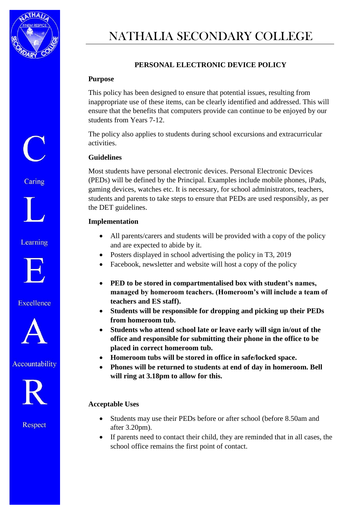

Caring

Learning

**Excellence** 

Accountability

# NATHALIA SECONDARY COLLEGE

## **PERSONAL ELECTRONIC DEVICE POLICY**

#### **Purpose**

This policy has been designed to ensure that potential issues, resulting from inappropriate use of these items, can be clearly identified and addressed. This will ensure that the benefits that computers provide can continue to be enjoyed by our students from Years 7-12.

The policy also applies to students during school excursions and extracurricular activities.

#### **Guidelines**

Most students have personal electronic devices. Personal Electronic Devices (PEDs) will be defined by the Principal. Examples include mobile phones, iPads, gaming devices, watches etc. It is necessary, for school administrators, teachers, students and parents to take steps to ensure that PEDs are used responsibly, as per the DET guidelines.

#### **Implementation**

- All parents/carers and students will be provided with a copy of the policy and are expected to abide by it.
- Posters displayed in school advertising the policy in T3, 2019
- Facebook, newsletter and website will host a copy of the policy
- **PED to be stored in compartmentalised box with student's names, managed by homeroom teachers. (Homeroom's will include a team of teachers and ES staff).**
- **Students will be responsible for dropping and picking up their PEDs from homeroom tub.**
- **Students who attend school late or leave early will sign in/out of the office and responsible for submitting their phone in the office to be placed in correct homeroom tub.**
- **Homeroom tubs will be stored in office in safe/locked space.**
- **Phones will be returned to students at end of day in homeroom. Bell will ring at 3.18pm to allow for this.**

#### **Acceptable Uses**

Respect

- Students may use their PEDs before or after school (before 8.50am and after 3.20pm).
- If parents need to contact their child, they are reminded that in all cases, the school office remains the first point of contact.